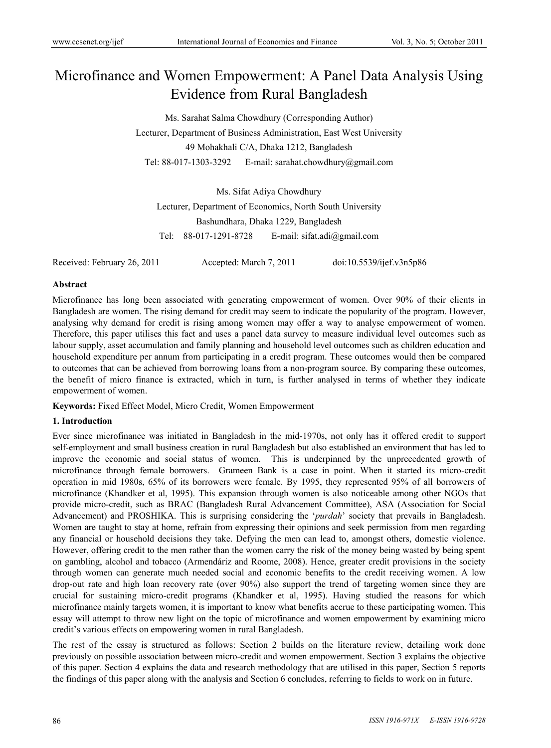# Microfinance and Women Empowerment: A Panel Data Analysis Using Evidence from Rural Bangladesh

Ms. Sarahat Salma Chowdhury (Corresponding Author) Lecturer, Department of Business Administration, East West University 49 Mohakhali C/A, Dhaka 1212, Bangladesh Tel: 88-017-1303-3292 E-mail: sarahat.chowdhury@gmail.com

Ms. Sifat Adiya Chowdhury Lecturer, Department of Economics, North South University Bashundhara, Dhaka 1229, Bangladesh Tel: 88-017-1291-8728 E-mail: sifat.adi@gmail.com

Received: February 26, 2011 Accepted: March 7, 2011 doi:10.5539/ijef.v3n5p86

### **Abstract**

Microfinance has long been associated with generating empowerment of women. Over 90% of their clients in Bangladesh are women. The rising demand for credit may seem to indicate the popularity of the program. However, analysing why demand for credit is rising among women may offer a way to analyse empowerment of women. Therefore, this paper utilises this fact and uses a panel data survey to measure individual level outcomes such as labour supply, asset accumulation and family planning and household level outcomes such as children education and household expenditure per annum from participating in a credit program. These outcomes would then be compared to outcomes that can be achieved from borrowing loans from a non-program source. By comparing these outcomes, the benefit of micro finance is extracted, which in turn, is further analysed in terms of whether they indicate empowerment of women.

**Keywords:** Fixed Effect Model, Micro Credit, Women Empowerment

#### **1. Introduction**

Ever since microfinance was initiated in Bangladesh in the mid-1970s, not only has it offered credit to support self-employment and small business creation in rural Bangladesh but also established an environment that has led to improve the economic and social status of women. This is underpinned by the unprecedented growth of microfinance through female borrowers. Grameen Bank is a case in point. When it started its micro-credit operation in mid 1980s, 65% of its borrowers were female. By 1995, they represented 95% of all borrowers of microfinance (Khandker et al, 1995). This expansion through women is also noticeable among other NGOs that provide micro-credit, such as BRAC (Bangladesh Rural Advancement Committee), ASA (Association for Social Advancement) and PROSHIKA. This is surprising considering the '*purdah*' society that prevails in Bangladesh. Women are taught to stay at home, refrain from expressing their opinions and seek permission from men regarding any financial or household decisions they take. Defying the men can lead to, amongst others, domestic violence. However, offering credit to the men rather than the women carry the risk of the money being wasted by being spent on gambling, alcohol and tobacco (Armendáriz and Roome, 2008). Hence, greater credit provisions in the society through women can generate much needed social and economic benefits to the credit receiving women. A low drop-out rate and high loan recovery rate (over 90%) also support the trend of targeting women since they are crucial for sustaining micro-credit programs (Khandker et al, 1995). Having studied the reasons for which microfinance mainly targets women, it is important to know what benefits accrue to these participating women. This essay will attempt to throw new light on the topic of microfinance and women empowerment by examining micro credit's various effects on empowering women in rural Bangladesh.

The rest of the essay is structured as follows: Section 2 builds on the literature review, detailing work done previously on possible association between micro-credit and women empowerment. Section 3 explains the objective of this paper. Section 4 explains the data and research methodology that are utilised in this paper, Section 5 reports the findings of this paper along with the analysis and Section 6 concludes, referring to fields to work on in future.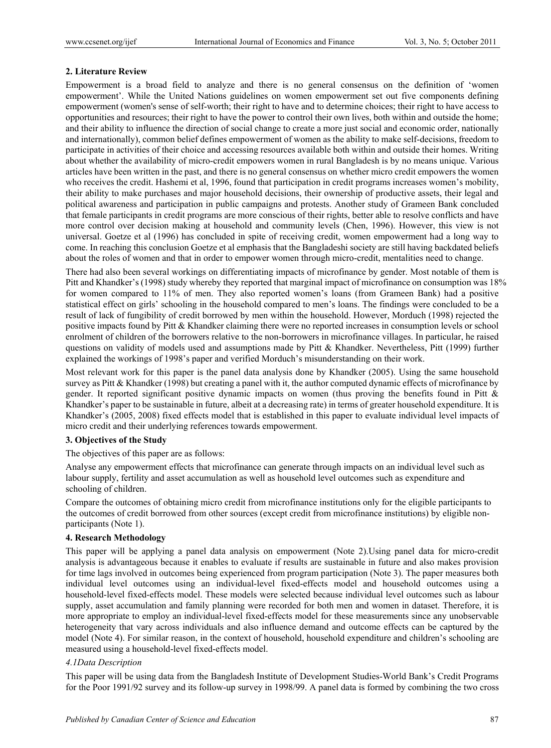### **2. Literature Review**

Empowerment is a broad field to analyze and there is no general consensus on the definition of 'women empowerment'. While the United Nations guidelines on women empowerment set out five components defining empowerment (women's sense of self-worth; their right to have and to determine choices; their right to have access to opportunities and resources; their right to have the power to control their own lives, both within and outside the home; and their ability to influence the direction of social change to create a more just social and economic order, nationally and internationally), common belief defines empowerment of women as the ability to make self-decisions, freedom to participate in activities of their choice and accessing resources available both within and outside their homes. Writing about whether the availability of micro-credit empowers women in rural Bangladesh is by no means unique. Various articles have been written in the past, and there is no general consensus on whether micro credit empowers the women who receives the credit. Hashemi et al, 1996, found that participation in credit programs increases women's mobility, their ability to make purchases and major household decisions, their ownership of productive assets, their legal and political awareness and participation in public campaigns and protests. Another study of Grameen Bank concluded that female participants in credit programs are more conscious of their rights, better able to resolve conflicts and have more control over decision making at household and community levels (Chen, 1996). However, this view is not universal. Goetze et al (1996) has concluded in spite of receiving credit, women empowerment had a long way to come. In reaching this conclusion Goetze et al emphasis that the Bangladeshi society are still having backdated beliefs about the roles of women and that in order to empower women through micro-credit, mentalities need to change.

There had also been several workings on differentiating impacts of microfinance by gender. Most notable of them is Pitt and Khandker's (1998) study whereby they reported that marginal impact of microfinance on consumption was 18% for women compared to 11% of men. They also reported women's loans (from Grameen Bank) had a positive statistical effect on girls' schooling in the household compared to men's loans. The findings were concluded to be a result of lack of fungibility of credit borrowed by men within the household. However, Morduch (1998) rejected the positive impacts found by Pitt & Khandker claiming there were no reported increases in consumption levels or school enrolment of children of the borrowers relative to the non-borrowers in microfinance villages. In particular, he raised questions on validity of models used and assumptions made by Pitt & Khandker. Nevertheless, Pitt (1999) further explained the workings of 1998's paper and verified Morduch's misunderstanding on their work.

Most relevant work for this paper is the panel data analysis done by Khandker (2005). Using the same household survey as Pitt & Khandker (1998) but creating a panel with it, the author computed dynamic effects of microfinance by gender. It reported significant positive dynamic impacts on women (thus proving the benefits found in Pitt & Khandker's paper to be sustainable in future, albeit at a decreasing rate) in terms of greater household expenditure. It is Khandker's (2005, 2008) fixed effects model that is established in this paper to evaluate individual level impacts of micro credit and their underlying references towards empowerment.

## **3. Objectives of the Study**

The objectives of this paper are as follows:

Analyse any empowerment effects that microfinance can generate through impacts on an individual level such as labour supply, fertility and asset accumulation as well as household level outcomes such as expenditure and schooling of children.

Compare the outcomes of obtaining micro credit from microfinance institutions only for the eligible participants to the outcomes of credit borrowed from other sources (except credit from microfinance institutions) by eligible nonparticipants (Note 1).

### **4. Research Methodology**

This paper will be applying a panel data analysis on empowerment (Note 2).Using panel data for micro-credit analysis is advantageous because it enables to evaluate if results are sustainable in future and also makes provision for time lags involved in outcomes being experienced from program participation (Note 3). The paper measures both individual level outcomes using an individual-level fixed-effects model and household outcomes using a household-level fixed-effects model. These models were selected because individual level outcomes such as labour supply, asset accumulation and family planning were recorded for both men and women in dataset. Therefore, it is more appropriate to employ an individual-level fixed-effects model for these measurements since any unobservable heterogeneity that vary across individuals and also influence demand and outcome effects can be captured by the model (Note 4). For similar reason, in the context of household, household expenditure and children's schooling are measured using a household-level fixed-effects model.

#### *4.1Data Description*

This paper will be using data from the Bangladesh Institute of Development Studies-World Bank's Credit Programs for the Poor 1991/92 survey and its follow-up survey in 1998/99. A panel data is formed by combining the two cross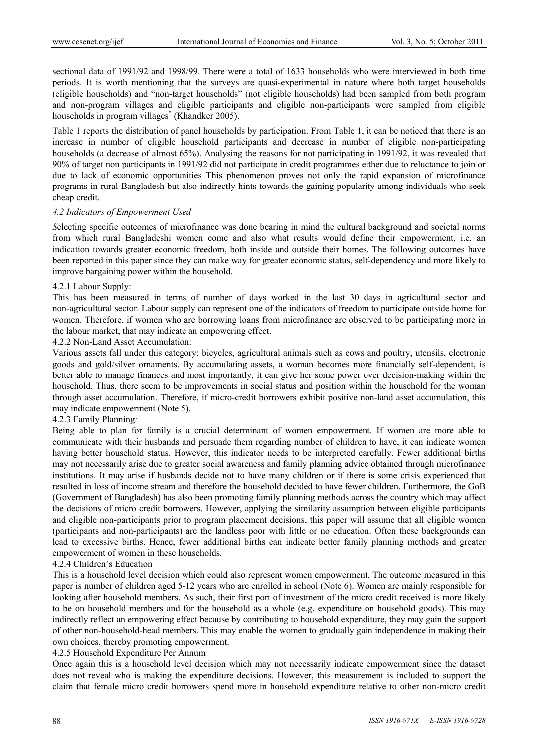sectional data of 1991/92 and 1998/99. There were a total of 1633 households who were interviewed in both time periods. It is worth mentioning that the surveys are quasi-experimental in nature where both target households (eligible households) and "non-target households" (not eligible households) had been sampled from both program and non-program villages and eligible participants and eligible non-participants were sampled from eligible households in program villages<sup>\*</sup> (Khandker 2005).

Table 1 reports the distribution of panel households by participation. From Table 1, it can be noticed that there is an increase in number of eligible household participants and decrease in number of eligible non-participating households (a decrease of almost 65%). Analysing the reasons for not participating in 1991/92, it was revealed that 90% of target non participants in 1991/92 did not participate in credit programmes either due to reluctance to join or due to lack of economic opportunities This phenomenon proves not only the rapid expansion of microfinance programs in rural Bangladesh but also indirectly hints towards the gaining popularity among individuals who seek cheap credit.

#### *4.2 Indicators of Empowerment Used*

*S*electing specific outcomes of microfinance was done bearing in mind the cultural background and societal norms from which rural Bangladeshi women come and also what results would define their empowerment, i.e. an indication towards greater economic freedom, both inside and outside their homes. The following outcomes have been reported in this paper since they can make way for greater economic status, self-dependency and more likely to improve bargaining power within the household.

#### 4.2.1 Labour Supply:

This has been measured in terms of number of days worked in the last 30 days in agricultural sector and non-agricultural sector. Labour supply can represent one of the indicators of freedom to participate outside home for women. Therefore, if women who are borrowing loans from microfinance are observed to be participating more in the labour market, that may indicate an empowering effect.

4.2.2 Non-Land Asset Accumulation:

Various assets fall under this category: bicycles, agricultural animals such as cows and poultry, utensils, electronic goods and gold/silver ornaments. By accumulating assets, a woman becomes more financially self-dependent, is better able to manage finances and most importantly, it can give her some power over decision-making within the household. Thus, there seem to be improvements in social status and position within the household for the woman through asset accumulation. Therefore, if micro-credit borrowers exhibit positive non-land asset accumulation, this may indicate empowerment (Note 5).

### 4.2.3 Family Planning*:*

Being able to plan for family is a crucial determinant of women empowerment. If women are more able to communicate with their husbands and persuade them regarding number of children to have, it can indicate women having better household status. However, this indicator needs to be interpreted carefully. Fewer additional births may not necessarily arise due to greater social awareness and family planning advice obtained through microfinance institutions. It may arise if husbands decide not to have many children or if there is some crisis experienced that resulted in loss of income stream and therefore the household decided to have fewer children. Furthermore, the GoB (Government of Bangladesh) has also been promoting family planning methods across the country which may affect the decisions of micro credit borrowers. However, applying the similarity assumption between eligible participants and eligible non-participants prior to program placement decisions, this paper will assume that all eligible women (participants and non-participants) are the landless poor with little or no education. Often these backgrounds can lead to excessive births. Hence, fewer additional births can indicate better family planning methods and greater empowerment of women in these households.

## 4.2.4 Children's Education

This is a household level decision which could also represent women empowerment. The outcome measured in this paper is number of children aged 5-12 years who are enrolled in school (Note 6). Women are mainly responsible for looking after household members. As such, their first port of investment of the micro credit received is more likely to be on household members and for the household as a whole (e.g. expenditure on household goods). This may indirectly reflect an empowering effect because by contributing to household expenditure, they may gain the support of other non-household-head members. This may enable the women to gradually gain independence in making their own choices, thereby promoting empowerment.

#### 4.2.5 Household Expenditure Per Annum

Once again this is a household level decision which may not necessarily indicate empowerment since the dataset does not reveal who is making the expenditure decisions. However, this measurement is included to support the claim that female micro credit borrowers spend more in household expenditure relative to other non-micro credit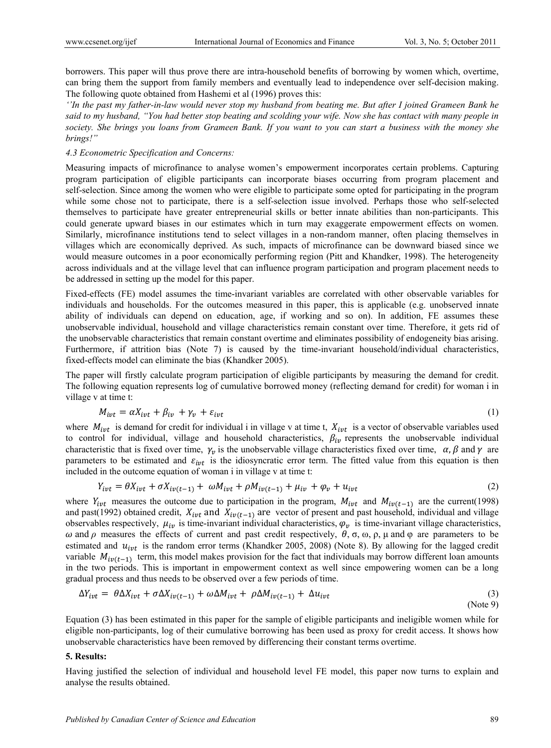borrowers. This paper will thus prove there are intra-household benefits of borrowing by women which, overtime, can bring them the support from family members and eventually lead to independence over self-decision making. The following quote obtained from Hashemi et al (1996) proves this:

*''In the past my father-in-law would never stop my husband from beating me. But after I joined Grameen Bank he said to my husband, "You had better stop beating and scolding your wife. Now she has contact with many people in society. She brings you loans from Grameen Bank. If you want to you can start a business with the money she brings!"* 

#### *4.3 Econometric Specification and Concerns:*

Measuring impacts of microfinance to analyse women's empowerment incorporates certain problems. Capturing program participation of eligible participants can incorporate biases occurring from program placement and self-selection. Since among the women who were eligible to participate some opted for participating in the program while some chose not to participate, there is a self-selection issue involved. Perhaps those who self-selected themselves to participate have greater entrepreneurial skills or better innate abilities than non-participants. This could generate upward biases in our estimates which in turn may exaggerate empowerment effects on women. Similarly, microfinance institutions tend to select villages in a non-random manner, often placing themselves in villages which are economically deprived. As such, impacts of microfinance can be downward biased since we would measure outcomes in a poor economically performing region (Pitt and Khandker, 1998). The heterogeneity across individuals and at the village level that can influence program participation and program placement needs to be addressed in setting up the model for this paper.

Fixed-effects (FE) model assumes the time-invariant variables are correlated with other observable variables for individuals and households. For the outcomes measured in this paper, this is applicable (e.g. unobserved innate ability of individuals can depend on education, age, if working and so on). In addition, FE assumes these unobservable individual, household and village characteristics remain constant over time. Therefore, it gets rid of the unobservable characteristics that remain constant overtime and eliminates possibility of endogeneity bias arising. Furthermore, if attrition bias (Note 7) is caused by the time-invariant household/individual characteristics, fixed-effects model can eliminate the bias (Khandker 2005).

The paper will firstly calculate program participation of eligible participants by measuring the demand for credit. The following equation represents log of cumulative borrowed money (reflecting demand for credit) for woman i in village v at time t:

$$
M_{ivt} = \alpha X_{ivt} + \beta_{iv} + \gamma_v + \varepsilon_{ivt}
$$
 (1)

where  $M_{i\nu t}$  is demand for credit for individual i in village v at time t,  $X_{i\nu t}$  is a vector of observable variables used to control for individual, village and household characteristics,  $\beta_{iv}$  represents the unobservable individual characteristic that is fixed over time,  $\gamma_{\nu}$  is the unobservable village characteristics fixed over time,  $\alpha, \beta$  and  $\gamma$  are parameters to be estimated and  $\varepsilon_{\text{ivt}}$  is the idiosyncratic error term. The fitted value from this equation is then included in the outcome equation of woman i in village v at time t:

$$
Y_{ivt} = \theta X_{ivt} + \sigma X_{iv(t-1)} + \omega M_{ivt} + \rho M_{iv(t-1)} + \mu_{iv} + \varphi_v + u_{ivt}
$$
\n
$$
\tag{2}
$$

where  $Y_{ivt}$  measures the outcome due to participation in the program,  $M_{ivt}$  and  $M_{iv(t-1)}$  are the current(1998) and past(1992) obtained credit,  $X_{ivt}$  and  $X_{iv(t-1)}$  are vector of present and past household, individual and village observables respectively,  $\mu_{iv}$  is time-invariant individual characteristics,  $\varphi_{v}$  is time-invariant village characteristics,  $\omega$  and  $\rho$  measures the effects of current and past credit respectively,  $\theta$ ,  $\sigma$ ,  $\omega$ ,  $\rho$ ,  $\mu$  and  $\varphi$  are parameters to be estimated and  $u_{ivt}$  is the random error terms (Khandker 2005, 2008) (Note 8). By allowing for the lagged credit variable  $M_{iv(t-1)}$  term, this model makes provision for the fact that individuals may borrow different loan amounts in the two periods. This is important in empowerment context as well since empowering women can be a long gradual process and thus needs to be observed over a few periods of time.

$$
\Delta Y_{ivt} = \theta \Delta X_{ivt} + \sigma \Delta X_{iv(t-1)} + \omega \Delta M_{ivt} + \rho \Delta M_{iv(t-1)} + \Delta u_{ivt}
$$
\n(3)

Equation (3) has been estimated in this paper for the sample of eligible participants and ineligible women while for eligible non-participants, log of their cumulative borrowing has been used as proxy for credit access. It shows how unobservable characteristics have been removed by differencing their constant terms overtime.

#### **5. Results:**

Having justified the selection of individual and household level FE model, this paper now turns to explain and analyse the results obtained.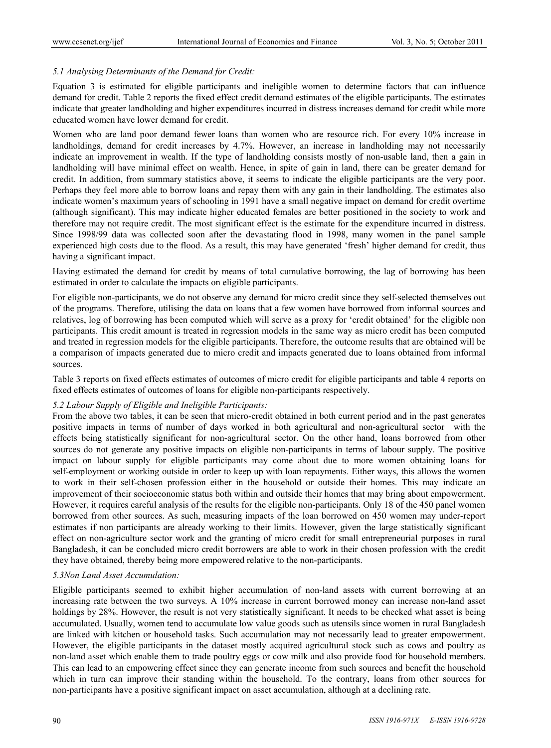## *5.1 Analysing Determinants of the Demand for Credit:*

Equation 3 is estimated for eligible participants and ineligible women to determine factors that can influence demand for credit. Table 2 reports the fixed effect credit demand estimates of the eligible participants. The estimates indicate that greater landholding and higher expenditures incurred in distress increases demand for credit while more educated women have lower demand for credit.

Women who are land poor demand fewer loans than women who are resource rich. For every 10% increase in landholdings, demand for credit increases by 4.7%. However, an increase in landholding may not necessarily indicate an improvement in wealth. If the type of landholding consists mostly of non-usable land, then a gain in landholding will have minimal effect on wealth. Hence, in spite of gain in land, there can be greater demand for credit. In addition, from summary statistics above, it seems to indicate the eligible participants are the very poor. Perhaps they feel more able to borrow loans and repay them with any gain in their landholding. The estimates also indicate women's maximum years of schooling in 1991 have a small negative impact on demand for credit overtime (although significant). This may indicate higher educated females are better positioned in the society to work and therefore may not require credit. The most significant effect is the estimate for the expenditure incurred in distress. Since 1998/99 data was collected soon after the devastating flood in 1998, many women in the panel sample experienced high costs due to the flood. As a result, this may have generated 'fresh' higher demand for credit, thus having a significant impact.

Having estimated the demand for credit by means of total cumulative borrowing, the lag of borrowing has been estimated in order to calculate the impacts on eligible participants.

For eligible non-participants, we do not observe any demand for micro credit since they self-selected themselves out of the programs. Therefore, utilising the data on loans that a few women have borrowed from informal sources and relatives, log of borrowing has been computed which will serve as a proxy for 'credit obtained' for the eligible non participants. This credit amount is treated in regression models in the same way as micro credit has been computed and treated in regression models for the eligible participants. Therefore, the outcome results that are obtained will be a comparison of impacts generated due to micro credit and impacts generated due to loans obtained from informal sources.

Table 3 reports on fixed effects estimates of outcomes of micro credit for eligible participants and table 4 reports on fixed effects estimates of outcomes of loans for eligible non-participants respectively.

### *5.2 Labour Supply of Eligible and Ineligible Participants:*

From the above two tables, it can be seen that micro-credit obtained in both current period and in the past generates positive impacts in terms of number of days worked in both agricultural and non-agricultural sector with the effects being statistically significant for non-agricultural sector. On the other hand, loans borrowed from other sources do not generate any positive impacts on eligible non-participants in terms of labour supply. The positive impact on labour supply for eligible participants may come about due to more women obtaining loans for self-employment or working outside in order to keep up with loan repayments. Either ways, this allows the women to work in their self-chosen profession either in the household or outside their homes. This may indicate an improvement of their socioeconomic status both within and outside their homes that may bring about empowerment. However, it requires careful analysis of the results for the eligible non-participants. Only 18 of the 450 panel women borrowed from other sources. As such, measuring impacts of the loan borrowed on 450 women may under-report estimates if non participants are already working to their limits. However, given the large statistically significant effect on non-agriculture sector work and the granting of micro credit for small entrepreneurial purposes in rural Bangladesh, it can be concluded micro credit borrowers are able to work in their chosen profession with the credit they have obtained, thereby being more empowered relative to the non-participants.

### *5.3Non Land Asset Accumulation:*

Eligible participants seemed to exhibit higher accumulation of non-land assets with current borrowing at an increasing rate between the two surveys. A 10% increase in current borrowed money can increase non-land asset holdings by 28%. However, the result is not very statistically significant. It needs to be checked what asset is being accumulated. Usually, women tend to accumulate low value goods such as utensils since women in rural Bangladesh are linked with kitchen or household tasks. Such accumulation may not necessarily lead to greater empowerment. However, the eligible participants in the dataset mostly acquired agricultural stock such as cows and poultry as non-land asset which enable them to trade poultry eggs or cow milk and also provide food for household members. This can lead to an empowering effect since they can generate income from such sources and benefit the household which in turn can improve their standing within the household. To the contrary, loans from other sources for non-participants have a positive significant impact on asset accumulation, although at a declining rate.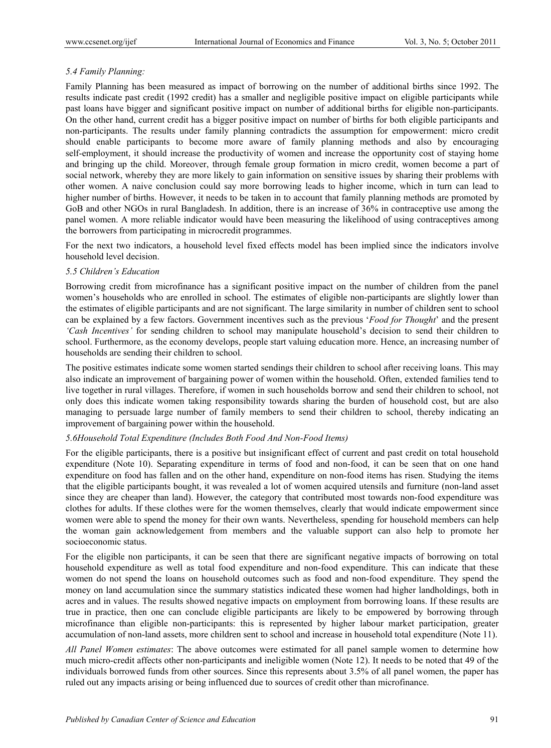## *5.4 Family Planning:*

Family Planning has been measured as impact of borrowing on the number of additional births since 1992. The results indicate past credit (1992 credit) has a smaller and negligible positive impact on eligible participants while past loans have bigger and significant positive impact on number of additional births for eligible non-participants. On the other hand, current credit has a bigger positive impact on number of births for both eligible participants and non-participants. The results under family planning contradicts the assumption for empowerment: micro credit should enable participants to become more aware of family planning methods and also by encouraging self-employment, it should increase the productivity of women and increase the opportunity cost of staying home and bringing up the child. Moreover, through female group formation in micro credit, women become a part of social network, whereby they are more likely to gain information on sensitive issues by sharing their problems with other women. A naive conclusion could say more borrowing leads to higher income, which in turn can lead to higher number of births. However, it needs to be taken in to account that family planning methods are promoted by GoB and other NGOs in rural Bangladesh. In addition, there is an increase of 36% in contraceptive use among the panel women. A more reliable indicator would have been measuring the likelihood of using contraceptives among the borrowers from participating in microcredit programmes.

For the next two indicators, a household level fixed effects model has been implied since the indicators involve household level decision.

#### *5.5 Children's Education*

Borrowing credit from microfinance has a significant positive impact on the number of children from the panel women's households who are enrolled in school. The estimates of eligible non-participants are slightly lower than the estimates of eligible participants and are not significant. The large similarity in number of children sent to school can be explained by a few factors. Government incentives such as the previous '*Food for Thought*' and the present *'Cash Incentives'* for sending children to school may manipulate household's decision to send their children to school. Furthermore, as the economy develops, people start valuing education more. Hence, an increasing number of households are sending their children to school.

The positive estimates indicate some women started sendings their children to school after receiving loans. This may also indicate an improvement of bargaining power of women within the household. Often, extended families tend to live together in rural villages. Therefore, if women in such households borrow and send their children to school, not only does this indicate women taking responsibility towards sharing the burden of household cost, but are also managing to persuade large number of family members to send their children to school, thereby indicating an improvement of bargaining power within the household.

### *5.6Household Total Expenditure (Includes Both Food And Non-Food Items)*

For the eligible participants, there is a positive but insignificant effect of current and past credit on total household expenditure (Note 10). Separating expenditure in terms of food and non-food, it can be seen that on one hand expenditure on food has fallen and on the other hand, expenditure on non-food items has risen. Studying the items that the eligible participants bought, it was revealed a lot of women acquired utensils and furniture (non-land asset since they are cheaper than land). However, the category that contributed most towards non-food expenditure was clothes for adults. If these clothes were for the women themselves, clearly that would indicate empowerment since women were able to spend the money for their own wants. Nevertheless, spending for household members can help the woman gain acknowledgement from members and the valuable support can also help to promote her socioeconomic status.

For the eligible non participants, it can be seen that there are significant negative impacts of borrowing on total household expenditure as well as total food expenditure and non-food expenditure. This can indicate that these women do not spend the loans on household outcomes such as food and non-food expenditure. They spend the money on land accumulation since the summary statistics indicated these women had higher landholdings, both in acres and in values. The results showed negative impacts on employment from borrowing loans. If these results are true in practice, then one can conclude eligible participants are likely to be empowered by borrowing through microfinance than eligible non-participants: this is represented by higher labour market participation, greater accumulation of non-land assets, more children sent to school and increase in household total expenditure (Note 11).

*All Panel Women estimates*: The above outcomes were estimated for all panel sample women to determine how much micro-credit affects other non-participants and ineligible women (Note 12). It needs to be noted that 49 of the individuals borrowed funds from other sources. Since this represents about 3.5% of all panel women, the paper has ruled out any impacts arising or being influenced due to sources of credit other than microfinance.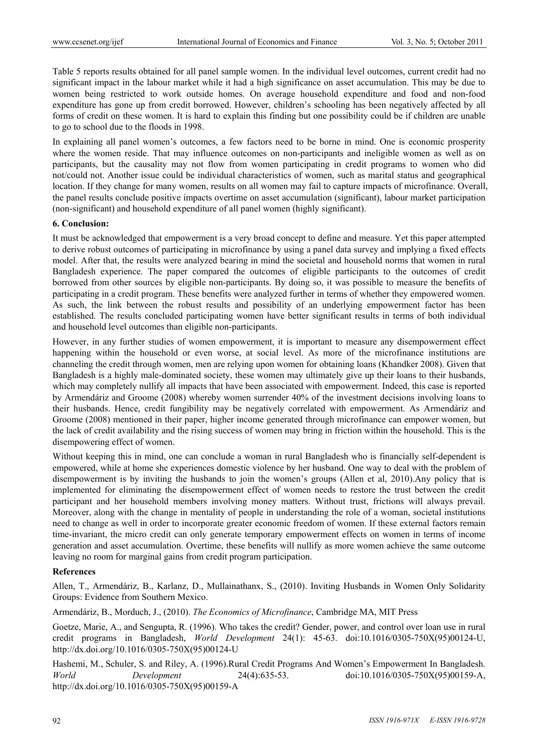Table 5 reports results obtained for all panel sample women. In the individual level outcomes, current credit had no significant impact in the labour market while it had a high significance on asset accumulation. This may be due to women being restricted to work outside homes. On average household expenditure and food and non-food expenditure has gone up from credit borrowed. However, children's schooling has been negatively affected by all forms of credit on these women. It is hard to explain this finding but one possibility could be if children are unable to go to school due to the floods in 1998.

In explaining all panel women's outcomes, a few factors need to be borne in mind. One is economic prosperity where the women reside. That may influence outcomes on non-participants and ineligible women as well as on participants, but the causality may not flow from women participating in credit programs to women who did not/could not. Another issue could be individual characteristics of women, such as marital status and geographical location. If they change for many women, results on all women may fail to capture impacts of microfinance. Overall, the panel results conclude positive impacts overtime on asset accumulation (significant), labour market participation (non-significant) and household expenditure of all panel women (highly significant).

#### **6. Conclusion:**

It must be acknowledged that empowerment is a very broad concept to define and measure. Yet this paper attempted to derive robust outcomes of participating in microfinance by using a panel data survey and implying a fixed effects model. After that, the results were analyzed bearing in mind the societal and household norms that women in rural Bangladesh experience. The paper compared the outcomes of eligible participants to the outcomes of credit borrowed from other sources by eligible non-participants. By doing so, it was possible to measure the benefits of participating in a credit program. These benefits were analyzed further in terms of whether they empowered women. As such, the link between the robust results and possibility of an underlying empowerment factor has been established. The results concluded participating women have better significant results in terms of both individual and household level outcomes than eligible non-participants.

However, in any further studies of women empowerment, it is important to measure any disempowerment effect happening within the household or even worse, at social level. As more of the microfinance institutions are channeling the credit through women, men are relying upon women for obtaining loans (Khandker 2008). Given that Bangladesh is a highly male-dominated society, these women may ultimately give up their loans to their husbands, which may completely nullify all impacts that have been associated with empowerment. Indeed, this case is reported by Armendáriz and Groome (2008) whereby women surrender 40% of the investment decisions involving loans to their husbands. Hence, credit fungibility may be negatively correlated with empowerment. As Armendáriz and Groome (2008) mentioned in their paper, higher income generated through microfinance can empower women, but the lack of credit availability and the rising success of women may bring in friction within the household. This is the disempowering effect of women.

Without keeping this in mind, one can conclude a woman in rural Bangladesh who is financially self-dependent is empowered, while at home she experiences domestic violence by her husband. One way to deal with the problem of disempowerment is by inviting the husbands to join the women's groups (Allen et al, 2010).Any policy that is implemented for eliminating the disempowerment effect of women needs to restore the trust between the credit participant and her household members involving money matters. Without trust, frictions will always prevail. Moreover, along with the change in mentality of people in understanding the role of a woman, societal institutions need to change as well in order to incorporate greater economic freedom of women. If these external factors remain time-invariant, the micro credit can only generate temporary empowerment effects on women in terms of income generation and asset accumulation. Overtime, these benefits will nullify as more women achieve the same outcome leaving no room for marginal gains from credit program participation.

#### **References**

Allen, T., Armendáriz, B., Karlanz, D., Mullainathanx, S., (2010). Inviting Husbands in Women Only Solidarity Groups: Evidence from Southern Mexico.

Armendáriz, B., Morduch, J., (2010). *The Economics of Microfinance*, Cambridge MA, MIT Press

Goetze, Marie, A., and Sengupta, R. (1996). Who takes the credit? Gender, power, and control over loan use in rural credit programs in Bangladesh, *World Development* 24(1): 45-63. doi:10.1016/0305-750X(95)00124-U, http://dx.doi.org/10.1016/0305-750X(95)00124-U

Hashemi, M., Schuler, S. and Riley, A. (1996).Rural Credit Programs And Women's Empowerment In Bangladesh. *World Development* 24(4):635-53. doi:10.1016/0305-750X(95)00159-A, http://dx.doi.org/10.1016/0305-750X(95)00159-A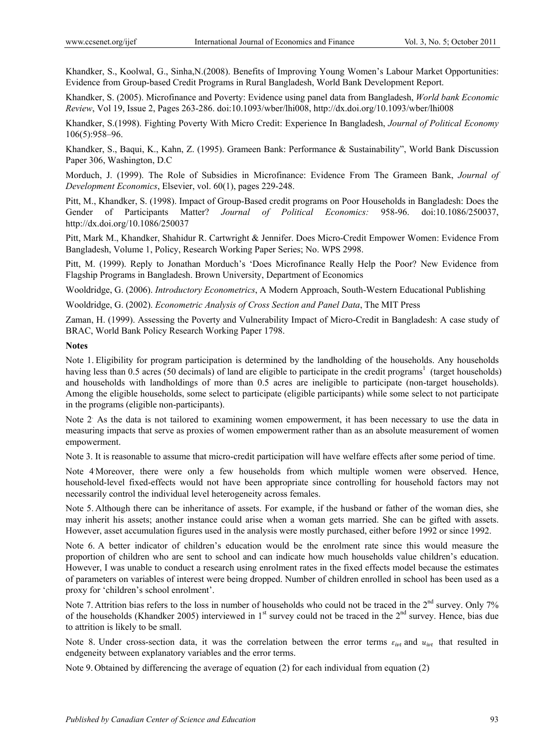Khandker, S., Koolwal, G., Sinha,N.(2008). Benefits of Improving Young Women's Labour Market Opportunities: Evidence from Group-based Credit Programs in Rural Bangladesh, World Bank Development Report.

Khandker, S. (2005). Microfinance and Poverty: Evidence using panel data from Bangladesh, *World bank Economic Review*, Vol 19, Issue 2, Pages 263-286. doi:10.1093/wber/lhi008, http://dx.doi.org/10.1093/wber/lhi008

Khandker, S.(1998). Fighting Poverty With Micro Credit: Experience In Bangladesh, *Journal of Political Economy*  106(5):958–96.

Khandker, S., Baqui, K., Kahn, Z. (1995). Grameen Bank: Performance & Sustainability", World Bank Discussion Paper 306, Washington, D.C

Morduch, J. (1999). The Role of Subsidies in Microfinance: Evidence From The Grameen Bank, *Journal of Development Economics*, Elsevier, vol. 60(1), pages 229-248.

Pitt, M., Khandker, S. (1998). Impact of Group-Based credit programs on Poor Households in Bangladesh: Does the Gender of Participants Matter? *Journal of Political Economics:* 958-96. doi:10.1086/250037, http://dx.doi.org/10.1086/250037

Pitt, Mark M., Khandker, Shahidur R. Cartwright & Jennifer. Does Micro-Credit Empower Women: Evidence From Bangladesh, Volume 1, Policy, Research Working Paper Series; No. WPS 2998.

Pitt, M. (1999). Reply to Jonathan Morduch's 'Does Microfinance Really Help the Poor? New Evidence from Flagship Programs in Bangladesh. Brown University, Department of Economics

Wooldridge, G. (2006). *Introductory Econometrics*, A Modern Approach, South-Western Educational Publishing

Wooldridge, G. (2002). *Econometric Analysis of Cross Section and Panel Data*, The MIT Press

Zaman, H. (1999). Assessing the Poverty and Vulnerability Impact of Micro-Credit in Bangladesh: A case study of BRAC, World Bank Policy Research Working Paper 1798.

**Notes** 

Note 1. Eligibility for program participation is determined by the landholding of the households. Any households having less than 0.5 acres (50 decimals) of land are eligible to participate in the credit programs<sup>1</sup> (target households) and households with landholdings of more than 0.5 acres are ineligible to participate (non-target households). Among the eligible households, some select to participate (eligible participants) while some select to not participate in the programs (eligible non-participants).

Note 2 As the data is not tailored to examining women empowerment, it has been necessary to use the data in measuring impacts that serve as proxies of women empowerment rather than as an absolute measurement of women empowerment.

Note 3. It is reasonable to assume that micro-credit participation will have welfare effects after some period of time.

Note 4 Moreover, there were only a few households from which multiple women were observed. Hence, household-level fixed-effects would not have been appropriate since controlling for household factors may not necessarily control the individual level heterogeneity across females.

Note 5. Although there can be inheritance of assets. For example, if the husband or father of the woman dies, she may inherit his assets; another instance could arise when a woman gets married. She can be gifted with assets. However, asset accumulation figures used in the analysis were mostly purchased, either before 1992 or since 1992.

Note 6. A better indicator of children's education would be the enrolment rate since this would measure the proportion of children who are sent to school and can indicate how much households value children's education. However, I was unable to conduct a research using enrolment rates in the fixed effects model because the estimates of parameters on variables of interest were being dropped. Number of children enrolled in school has been used as a proxy for 'children's school enrolment'.

Note 7. Attrition bias refers to the loss in number of households who could not be traced in the 2<sup>nd</sup> survey. Only 7% of the households (Khandker 2005) interviewed in  $1<sup>st</sup>$  survey could not be traced in the  $2<sup>nd</sup>$  survey. Hence, bias due to attrition is likely to be small.

Note 8. Under cross-section data, it was the correlation between the error terms  $\varepsilon_{\text{int}}$  and  $u_{\text{int}}$  that resulted in endgeneity between explanatory variables and the error terms.

Note 9. Obtained by differencing the average of equation (2) for each individual from equation (2)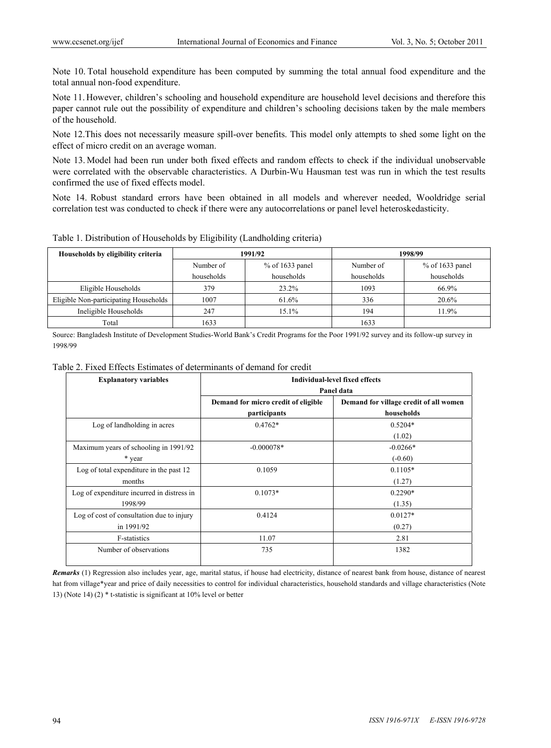Note 10. Total household expenditure has been computed by summing the total annual food expenditure and the total annual non-food expenditure.

Note 11. However, children's schooling and household expenditure are household level decisions and therefore this paper cannot rule out the possibility of expenditure and children's schooling decisions taken by the male members of the household.

Note 12.This does not necessarily measure spill-over benefits. This model only attempts to shed some light on the effect of micro credit on an average woman.

Note 13. Model had been run under both fixed effects and random effects to check if the individual unobservable were correlated with the observable characteristics. A Durbin-Wu Hausman test was run in which the test results confirmed the use of fixed effects model.

Note 14. Robust standard errors have been obtained in all models and wherever needed, Wooldridge serial correlation test was conducted to check if there were any autocorrelations or panel level heteroskedasticity.

|  | Table 1. Distribution of Households by Eligibility (Landholding criteria) |  |  |  |
|--|---------------------------------------------------------------------------|--|--|--|
|  |                                                                           |  |  |  |

| Households by eligibility criteria    |            | 1991/92           |            | 1998/99           |  |  |
|---------------------------------------|------------|-------------------|------------|-------------------|--|--|
|                                       | Number of  | $%$ of 1633 panel | Number of  | $%$ of 1633 panel |  |  |
|                                       | households | households        | households | households        |  |  |
| Eligible Households                   | 379        | 23.2%             | 1093       | 66.9%             |  |  |
| Eligible Non-participating Households | 1007       | 61.6%             | 336        | 20.6%             |  |  |
| Ineligible Households                 | 247        | 15.1%             | 194        | 11.9%             |  |  |
| Total                                 | 1633       |                   | 1633       |                   |  |  |

Source: Bangladesh Institute of Development Studies-World Bank's Credit Programs for the Poor 1991/92 survey and its follow-up survey in 1998/99

| Table 2. Fixed Effects Estimates of determinants of demand for credit |  |  |  |  |  |  |  |  |  |  |
|-----------------------------------------------------------------------|--|--|--|--|--|--|--|--|--|--|
|-----------------------------------------------------------------------|--|--|--|--|--|--|--|--|--|--|

| <b>Explanatory variables</b>               | <b>Individual-level fixed effects</b> |                                        |  |  |  |  |  |  |
|--------------------------------------------|---------------------------------------|----------------------------------------|--|--|--|--|--|--|
|                                            |                                       | Panel data                             |  |  |  |  |  |  |
|                                            | Demand for micro credit of eligible   | Demand for village credit of all women |  |  |  |  |  |  |
|                                            | participants                          | households                             |  |  |  |  |  |  |
| Log of landholding in acres                | $0.4762*$                             | $0.5204*$                              |  |  |  |  |  |  |
|                                            |                                       | (1.02)                                 |  |  |  |  |  |  |
| Maximum years of schooling in 1991/92      | $-0.000078*$                          | $-0.0266*$                             |  |  |  |  |  |  |
| * year                                     |                                       | $(-0.60)$                              |  |  |  |  |  |  |
| Log of total expenditure in the past 12    | 0.1059                                | $0.1105*$                              |  |  |  |  |  |  |
| months                                     |                                       | (1.27)                                 |  |  |  |  |  |  |
| Log of expenditure incurred in distress in | $0.1073*$                             | $0.2290*$                              |  |  |  |  |  |  |
| 1998/99                                    |                                       | (1.35)                                 |  |  |  |  |  |  |
| Log of cost of consultation due to injury  | 0.4124                                | $0.0127*$                              |  |  |  |  |  |  |
| in 1991/92                                 |                                       | (0.27)                                 |  |  |  |  |  |  |
| F-statistics                               | 11.07                                 | 2.81                                   |  |  |  |  |  |  |
| Number of observations                     | 735                                   | 1382                                   |  |  |  |  |  |  |

*Remarks* (1) Regression also includes year, age, marital status, if house had electricity, distance of nearest bank from house, distance of nearest hat from village\*year and price of daily necessities to control for individual characteristics, household standards and village characteristics (Note 13) (Note 14) (2) \* t-statistic is significant at 10% level or better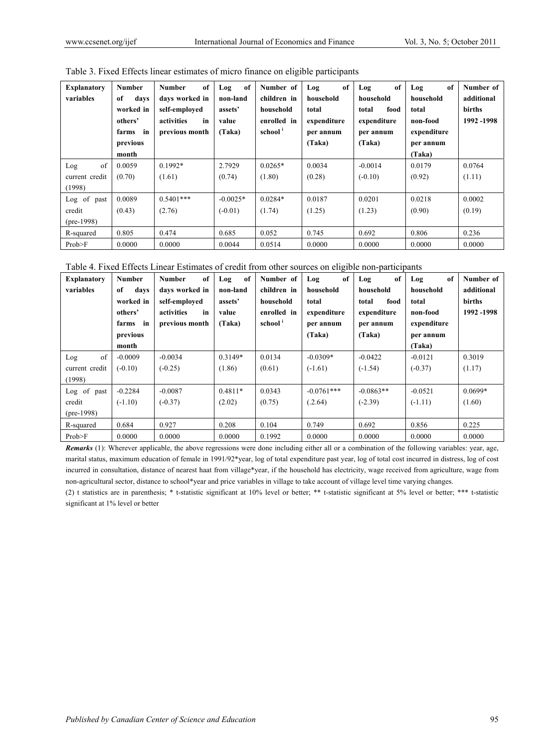| <b>Explanatory</b><br>variables                    | <b>Number</b><br>of<br>days<br>worked in<br>others'<br>farms in<br>previous<br>month | of<br><b>Number</b><br>days worked in<br>self-emploved<br>activities<br>in<br>previous month | of<br>Log<br>non-land<br>assets'<br>value<br>(Taka) | Number of<br>children in<br>household<br>enrolled in<br>school <sup>1</sup> | of<br>Log<br>household<br>total<br>expenditure<br>per annum<br>(Taka) | of<br>Log<br>household<br>food<br>total<br>expenditure<br>per annum<br>(Taka) | of<br>Log<br>household<br>total<br>non-food<br>expenditure<br>per annum<br>(Taka) | Number of<br>additional<br>births<br>1992 -1998 |
|----------------------------------------------------|--------------------------------------------------------------------------------------|----------------------------------------------------------------------------------------------|-----------------------------------------------------|-----------------------------------------------------------------------------|-----------------------------------------------------------------------|-------------------------------------------------------------------------------|-----------------------------------------------------------------------------------|-------------------------------------------------|
| of<br>Log<br>current credit                        | 0.0059<br>(0.70)                                                                     | $0.1992*$<br>(1.61)                                                                          | 2.7929<br>(0.74)                                    | $0.0265*$<br>(1.80)                                                         | 0.0034<br>(0.28)                                                      | $-0.0014$<br>$(-0.10)$                                                        | 0.0179<br>(0.92)                                                                  | 0.0764<br>(1.11)                                |
| (1998)<br>Log of<br>past<br>credit<br>$(pre-1998)$ | 0.0089<br>(0.43)                                                                     | $0.5401***$<br>(2.76)                                                                        | $-0.0025*$<br>$(-0.01)$                             | $0.0284*$<br>(1.74)                                                         | 0.0187<br>(1.25)                                                      | 0.0201<br>(1.23)                                                              | 0.0218<br>(0.90)                                                                  | 0.0002<br>(0.19)                                |
| R-squared<br>Prob>F                                | 0.805<br>0.0000                                                                      | 0.474<br>0.0000                                                                              | 0.685<br>0.0044                                     | 0.052<br>0.0514                                                             | 0.745<br>0.0000                                                       | 0.692<br>0.0000                                                               | 0.806<br>0.0000                                                                   | 0.236<br>0.0000                                 |

Table 3. Fixed Effects linear estimates of micro finance on eligible participants

| Table 4. Fixed Effects Linear Estimates of credit from other sources on eligible non-participants |  |  |  |  |  |  |
|---------------------------------------------------------------------------------------------------|--|--|--|--|--|--|
|                                                                                                   |  |  |  |  |  |  |

| <b>Explanatory</b><br>variables | <b>Number</b><br>of<br>days<br>worked in<br>others'<br>farms in | of<br><b>Number</b><br>days worked in<br>self-employed<br>activities<br>in<br>previous month | of<br>Log<br>non-land<br>assets'<br>value<br>(Taka) | Number of<br>children in<br>household<br>enrolled in<br>school <sup>1</sup> | of<br>Log<br>household<br>total<br>expenditure<br>per annum | of<br>Log<br>household<br>total<br>food<br>expenditure<br>per annum | of<br>Log<br>household<br>total<br>non-food<br>expenditure | Number of<br>additional<br>births<br>1992 -1998 |
|---------------------------------|-----------------------------------------------------------------|----------------------------------------------------------------------------------------------|-----------------------------------------------------|-----------------------------------------------------------------------------|-------------------------------------------------------------|---------------------------------------------------------------------|------------------------------------------------------------|-------------------------------------------------|
|                                 | previous                                                        |                                                                                              |                                                     |                                                                             | (Taka)                                                      | (Taka)                                                              | per annum                                                  |                                                 |
|                                 | month                                                           |                                                                                              |                                                     |                                                                             |                                                             |                                                                     | (Taka)                                                     |                                                 |
| of<br>Log                       | $-0.0009$                                                       | $-0.0034$                                                                                    | 0.3149*                                             | 0.0134                                                                      | $-0.0309*$                                                  | $-0.0422$                                                           | $-0.0121$                                                  | 0.3019                                          |
| current credit                  | $(-0.10)$                                                       | $(-0.25)$                                                                                    | (1.86)                                              | (0.61)                                                                      | $(-1.61)$                                                   | $(-1.54)$                                                           | $(-0.37)$                                                  | (1.17)                                          |
| (1998)                          |                                                                 |                                                                                              |                                                     |                                                                             |                                                             |                                                                     |                                                            |                                                 |
| Log of<br>past                  | $-0.2284$                                                       | $-0.0087$                                                                                    | $0.4811*$                                           | 0.0343                                                                      | $-0.0761***$                                                | $-0.0863**$                                                         | $-0.0521$                                                  | $0.0699*$                                       |
| credit                          | $(-1.10)$                                                       | $(-0.37)$                                                                                    | (2.02)                                              | (0.75)                                                                      | (.2.64)                                                     | $(-2.39)$                                                           | $(-1.11)$                                                  | (1.60)                                          |
| $(pre-1998)$                    |                                                                 |                                                                                              |                                                     |                                                                             |                                                             |                                                                     |                                                            |                                                 |
| R-squared                       | 0.684                                                           | 0.927                                                                                        | 0.208                                               | 0.104                                                                       | 0.749                                                       | 0.692                                                               | 0.856                                                      | 0.225                                           |
| Prob>F                          | 0.0000                                                          | 0.0000                                                                                       | 0.0000                                              | 0.1992                                                                      | 0.0000                                                      | 0.0000                                                              | 0.0000                                                     | 0.0000                                          |

*Remarks* (1): Wherever applicable, the above regressions were done including either all or a combination of the following variables: year, age, marital status, maximum education of female in 1991/92\*year, log of total expenditure past year, log of total cost incurred in distress, log of cost incurred in consultation, distance of nearest haat from village\*year, if the household has electricity, wage received from agriculture, wage from non-agricultural sector, distance to school\*year and price variables in village to take account of village level time varying changes.

(2) t statistics are in parenthesis; \* t-statistic significant at 10% level or better; \*\* t-statistic significant at 5% level or better; \*\*\* t-statistic significant at 1% level or better